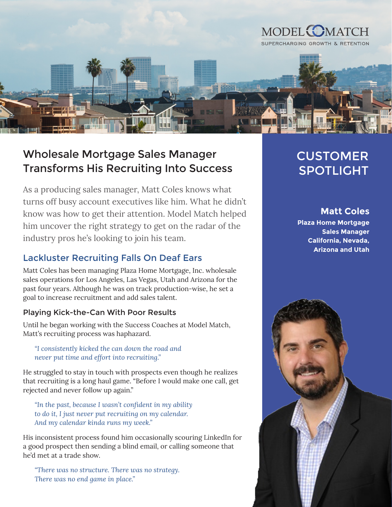

## Wholesale Mortgage Sales Manager Transforms His Recruiting Into Success

As a producing sales manager, Matt Coles knows what turns off busy account executives like him. What he didn't know was how to get their attention. Model Match helped him uncover the right strategy to get on the radar of the industry pros he's looking to join his team.

## Lackluster Recruiting Falls On Deaf Ears

Matt Coles has been managing Plaza Home Mortgage, Inc. wholesale sales operations for Los Angeles, Las Vegas, Utah and Arizona for the past four years. Although he was on track production-wise, he set a goal to increase recruitment and add sales talent.

### Playing Kick-the-Can With Poor Results

Until he began working with the Success Coaches at Model Match, Matt's recruiting process was haphazard.

*"I consistently kicked the can down the road and never put time and effort into recruiting."*

He struggled to stay in touch with prospects even though he realizes that recruiting is a long haul game. "Before I would make one call, get rejected and never follow up again."

*"In the past, because I wasn't confident in my ability to do it, I just never put recruiting on my calendar. And my calendar kinda runs my week."*

His inconsistent process found him occasionally scouring LinkedIn for a good prospect then sending a blind email, or calling someone that he'd met at a trade show.

*"There was no structure. There was no strategy. There was no end game in place."*

# CUSTOMER **SPOTLIGHT**

## **Matt Coles**

**Plaza Home Mortgage Sales Manager California, Nevada, Arizona and Utah**